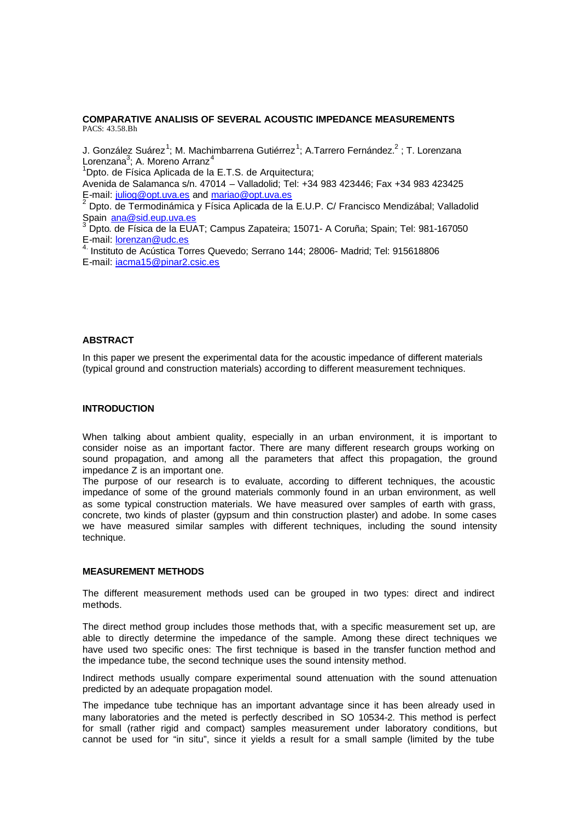## **COMPARATIVE ANALISIS OF SEVERAL ACOUSTIC IMPEDANCE MEASUREMENTS** PACS: 43.58.Bh

J. González Suárez<sup>1</sup>; M. Machimbarrena Gutiérrez<sup>1</sup>; A.Tarrero Fernández.<sup>2</sup> ; T. Lorenzana Lorenzana<sup>3</sup>; A. Moreno Arranz<sup>4</sup>

<sup>1</sup>Dpto. de Física Aplicada de la E.T.S. de Arquitectura;

Avenida de Salamanca s/n. 47014 – Valladolid; Tel: +34 983 423446; Fax +34 983 423425 E-mail: juliog@opt.uva.es and  $\frac{m}{2}$  mail:  $\frac{m}{2}$  mail:  $\frac{m}{2}$ 

<sup>2</sup> Dpto. de Termodinámica y Física Aplicada de la E.U.P. C/ Francisco Mendizábal; Valladolid Spain <u>ana@sid.eup.uva.es</u><br><sup>3</sup> Data de Física de la FLV

 Dpto. de Física de la EUAT; Campus Zapateira; 15071- A Coruña; Spain; Tel: 981-167050 E-mail: lorenzan@udc.es

4. Instituto de Acústica Torres Quevedo; Serrano 144; 28006- Madrid; Tel: 915618806 E-mail: iacma15@pinar2.csic.es

# **ABSTRACT**

In this paper we present the experimental data for the acoustic impedance of different materials (typical ground and construction materials) according to different measurement techniques.

#### **INTRODUCTION**

When talking about ambient quality, especially in an urban environment, it is important to consider noise as an important factor. There are many different research groups working on sound propagation, and among all the parameters that affect this propagation, the ground impedance Z is an important one.

The purpose of our research is to evaluate, according to different techniques, the acoustic impedance of some of the ground materials commonly found in an urban environment, as well as some typical construction materials. We have measured over samples of earth with grass, concrete, two kinds of plaster (gypsum and thin construction plaster) and adobe. In some cases we have measured similar samples with different techniques, including the sound intensity technique.

#### **MEASUREMENT METHODS**

The different measurement methods used can be grouped in two types: direct and indirect methods.

The direct method group includes those methods that, with a specific measurement set up, are able to directly determine the impedance of the sample. Among these direct techniques we have used two specific ones: The first technique is based in the transfer function method and the impedance tube, the second technique uses the sound intensity method.

Indirect methods usually compare experimental sound attenuation with the sound attenuation predicted by an adequate propagation model.

The impedance tube technique has an important advantage since it has been already used in many laboratories and the meted is perfectly described in SO 10534-2. This method is perfect for small (rather rigid and compact) samples measurement under laboratory conditions, but cannot be used for "in situ", since it yields a result for a small sample (limited by the tube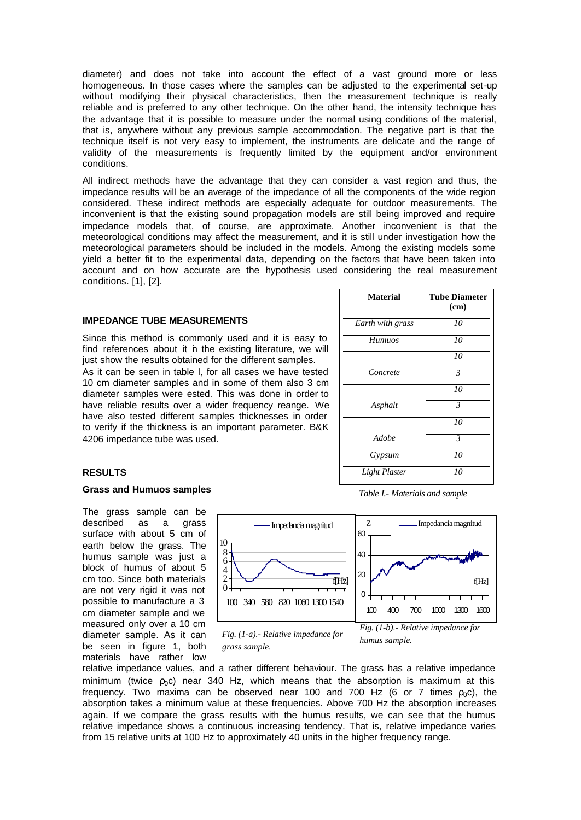diameter) and does not take into account the effect of a vast ground more or less homogeneous. In those cases where the samples can be adjusted to the experimental set-up without modifying their physical characteristics, then the measurement technique is really reliable and is preferred to any other technique. On the other hand, the intensity technique has the advantage that it is possible to measure under the normal using conditions of the material, that is, anywhere without any previous sample accommodation. The negative part is that the technique itself is not very easy to implement, the instruments are delicate and the range of validity of the measurements is frequently limited by the equipment and/or environment conditions.

All indirect methods have the advantage that they can consider a vast region and thus, the impedance results will be an average of the impedance of all the components of the wide region considered. These indirect methods are especially adequate for outdoor measurements. The inconvenient is that the existing sound propagation models are still being improved and require impedance models that, of course, are approximate. Another inconvenient is that the meteorological conditions may affect the measurement, and it is still under investigation how the meteorological parameters should be included in the models. Among the existing models some yield a better fit to the experimental data, depending on the factors that have been taken into account and on how accurate are the hypothesis used considering the real measurement conditions. [1], [2].

## **IMPEDANCE TUBE MEASUREMENTS**

Since this method is commonly used and it is easy to find references about it in the existing literature, we will just show the results obtained for the different samples.

As it can be seen in table I, for all cases we have tested 10 cm diameter samples and in some of them also 3 cm diameter samples were ested. This was done in order to have reliable results over a wider frequency reange. We have also tested different samples thicknesses in order to verify if the thickness is an important parameter. B&K 4206 impedance tube was used.

| <b>Material</b><br><b>Tube Diameter</b> |                |
|-----------------------------------------|----------------|
|                                         | (cm)           |
| Earth with grass                        | 10             |
| <b>Humuos</b>                           | 10             |
|                                         | 10             |
| Concrete                                | $\mathfrak{Z}$ |
|                                         | 10             |
| Asphalt                                 | $\mathfrak{Z}$ |
|                                         | 10             |
| Adobe                                   | $\mathfrak{Z}$ |
| Gypsum                                  | 10             |
| Light Plaster                           | 10             |

*Table I.- Materials and sample*

## **RESULTS**

## **Grass and Humuos samples**

The grass sample can be described as a grass surface with about 5 cm of earth below the grass. The humus sample was just a block of humus of about 5 cm too. Since both materials are not very rigid it was not possible to manufacture a 3 cm diameter sample and we measured only over a 10 cm diameter sample. As it can be seen in figure 1, both materials have rather low



*Fig. (1-a).- Relative impedance for grass sample.*

*humus sample.*

relative impedance values, and a rather different behaviour. The grass has a relative impedance minimum (twice  $\rho_0 c$ ) near 340 Hz, which means that the absorption is maximum at this frequency. Two maxima can be observed near 100 and 700 Hz (6 or 7 times  $\rho_0 c$ ), the absorption takes a minimum value at these frequencies. Above 700 Hz the absorption increases again. If we compare the grass results with the humus results, we can see that the humus relative impedance shows a continuous increasing tendency. That is, relative impedance varies from 15 relative units at 100 Hz to approximately 40 units in the higher frequency range.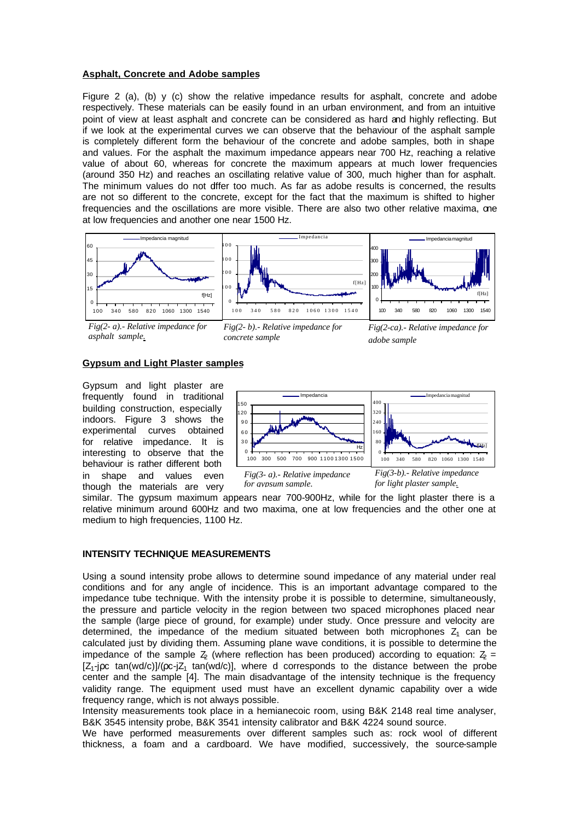## **Asphalt, Concrete and Adobe samples**

Figure 2 (a), (b) y (c) show the relative impedance results for asphalt, concrete and adobe respectively. These materials can be easily found in an urban environment, and from an intuitive point of view at least asphalt and concrete can be considered as hard and highly reflecting. But if we look at the experimental curves we can observe that the behaviour of the asphalt sample is completely different form the behaviour of the concrete and adobe samples, both in shape and values. For the asphalt the maximum impedance appears near 700 Hz, reaching a relative value of about 60, whereas for concrete the maximum appears at much lower frequencies (around 350 Hz) and reaches an oscillating relative value of 300, much higher than for asphalt. The minimum values do not differ too much. As far as adobe results is concerned, the results are not so different to the concrete, except for the fact that the maximum is shifted to higher frequencies and the oscillations are more visible. There are also two other relative maxima, one at low frequencies and another one near 1500 Hz.



*Fig(2- a).- Relative impedance for asphalt sample.*

*Fig(2- b).- Relative impedance for concrete sample*

*Fig(2-ca).- Relative impedance for adobe sample*

## **Gypsum and Light Plaster samples**

Gypsum and light plaster are frequently found in traditional building construction, especially indoors. Figure 3 shows the experimental curves obtained for relative impedance. It is interesting to observe that the behaviour is rather different both in shape and values even though the materials are very



*Fig(3- a).- Relative impedance for gypsum sample.*

*Fig(3-b).- Relative impedance for light plaster sample.*

similar. The gypsum maximum appears near 700-900Hz, while for the light plaster there is a relative minimum around 600Hz and two maxima, one at low frequencies and the other one at medium to high frequencies, 1100 Hz.

# **INTENSITY TECHNIQUE MEASUREMENTS**

Using a sound intensity probe allows to determine sound impedance of any material under real conditions and for any angle of incidence. This is an important advantage compared to the impedance tube technique. With the intensity probe it is possible to determine, simultaneously, the pressure and particle velocity in the region between two spaced microphones placed near the sample (large piece of ground, for example) under study. Once pressure and velocity are determined, the impedance of the medium situated between both microphones  $Z_1$  can be calculated just by dividing them. Assuming plane wave conditions, it is possible to determine the impedance of the sample  $\bar{Z}_2$  (where reflection has been produced) according to equation:  $\bar{Z}_2$  =  $[Z_1$ -jpc tan(wd/c)]/(pc-j $Z_1$  tan(wd/c)], where d corresponds to the distance between the probe center and the sample [4]. The main disadvantage of the intensity technique is the frequency validity range. The equipment used must have an excellent dynamic capability over a wide frequency range, which is not always possible.

Intensity measurements took place in a hemianecoic room, using B&K 2148 real time analyser, B&K 3545 intensity probe, B&K 3541 intensity calibrator and B&K 4224 sound source.

We have performed measurements over different samples such as: rock wool of different thickness, a foam and a cardboard. We have modified, successively, the source-sample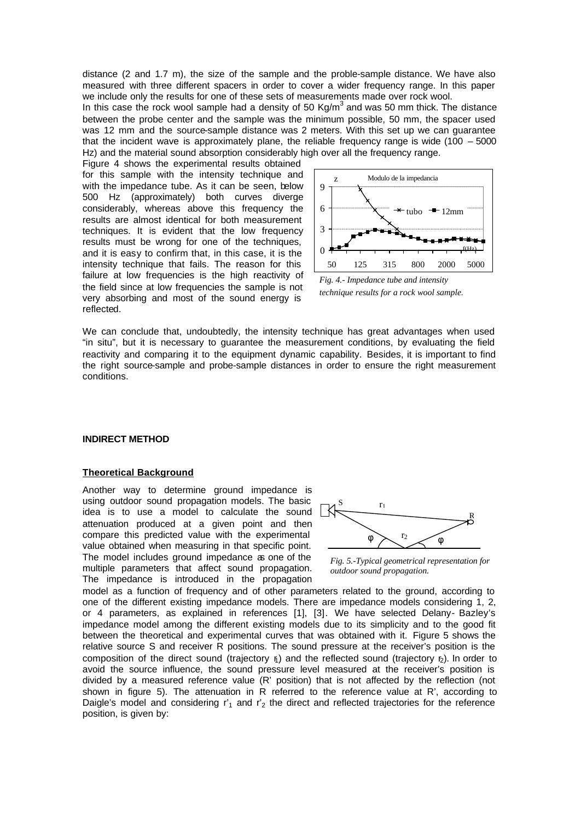distance (2 and 1.7 m), the size of the sample and the proble-sample distance. We have also measured with three different spacers in order to cover a wider frequency range. In this paper we include only the results for one of these sets of measurements made over rock wool.

In this case the rock wool sample had a density of 50 Kg/m<sup>3</sup> and was 50 mm thick. The distance between the probe center and the sample was the minimum possible, 50 mm, the spacer used was 12 mm and the source-sample distance was 2 meters. With this set up we can guarantee that the incident wave is approximately plane, the reliable frequency range is wide  $(100 - 5000)$ Hz) and the material sound absorption considerably high over all the frequency range.

Figure 4 shows the experimental results obtained for this sample with the intensity technique and with the impedance tube. As it can be seen, below 500 Hz (approximately) both curves diverge considerably, whereas above this frequency the results are almost identical for both measurement techniques. It is evident that the low frequency results must be wrong for one of the techniques, and it is easy to confirm that, in this case, it is the intensity technique that fails. The reason for this failure at low frequencies is the high reactivity of the field since at low frequencies the sample is not very absorbing and most of the sound energy is reflected.



*technique results for a rock wool sample.* 

We can conclude that, undoubtedly, the intensity technique has great advantages when used "in situ", but it is necessary to guarantee the measurement conditions, by evaluating the field reactivity and comparing it to the equipment dynamic capability. Besides, it is important to find the right source-sample and probe-sample distances in order to ensure the right measurement conditions.

#### **INDIRECT METHOD**

## **Theoretical Background**

Another way to determine ground impedance is using outdoor sound propagation models. The basic idea is to use a model to calculate the sound attenuation produced at a given point and then compare this predicted value with the experimental value obtained when measuring in that specific point. The model includes ground impedance as one of the multiple parameters that affect sound propagation. The impedance is introduced in the propagation



*Fig. 5.-Typical geometrical representation for outdoor sound propagation.*

model as a function of frequency and of other parameters related to the ground, according to one of the different existing impedance models. There are impedance models considering 1, 2, or 4 parameters, as explained in references [1], [3]. We have selected Delany- Bazley's impedance model among the different existing models due to its simplicity and to the good fit between the theoretical and experimental curves that was obtained with it. Figure 5 shows the relative source S and receiver R positions. The sound pressure at the receiver's position is the composition of the direct sound (trajectory  $\bf{r}$ ) and the reflected sound (trajectory  $\bf{r}$ ). In order to avoid the source influence, the sound pressure level measured at the receiver's position is divided by a measured reference value (R' position) that is not affected by the reflection (not shown in figure 5). The attenuation in R referred to the reference value at R', according to Daigle's model and considering  $r'_1$  and  $r'_2$  the direct and reflected trajectories for the reference position, is given by: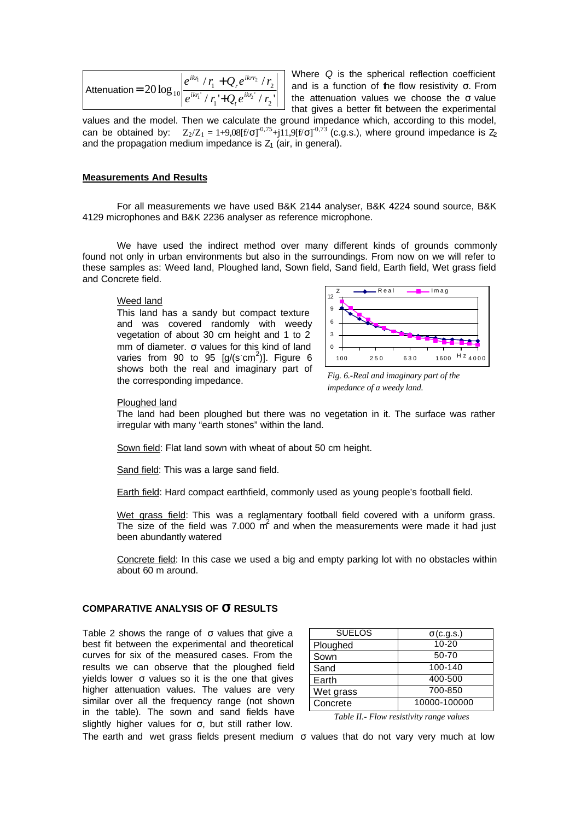Attention = 
$$
20 \log_{10} \left| \frac{e^{ikr_1} / r_1 + Q_r e^{ikr_2} / r_2}{e^{ikr_1} / r_1 + Q_r e^{ikr_2} / r_2} \right|
$$

Where *Q* is the spherical reflection coefficient and is a function of the flow resistivity  $σ$ . From the attenuation values we choose the σ value that gives a better fit between the experimental

values and the model. Then we calculate the ground impedance which, according to this model, can be obtained by:  $Z_2/Z_1 = 1+9.08[f/\sigma]^{-0.75}+j11.9[f/\sigma]^{-0.73}$  (c.g.s.), where ground impedance is  $Z_2$ and the propagation medium impedance is  $Z_1$  (air, in general).

## **Measurements And Results**

For all measurements we have used B&K 2144 analyser, B&K 4224 sound source, B&K 4129 microphones and B&K 2236 analyser as reference microphone.

We have used the indirect method over many different kinds of grounds commonly found not only in urban environments but also in the surroundings. From now on we will refer to these samples as: Weed land, Ploughed land, Sown field, Sand field, Earth field, Wet grass field and Concrete field.

#### Weed land

This land has a sandy but compact texture and was covered randomly with weedy vegetation of about 30 cm height and 1 to 2 mm of diameter. σ values for this kind of land varies from 90 to 95  $[g/(s \text{ cm}^2)]$ . Figure 6 shows both the real and imaginary part of the corresponding impedance.



*Fig. 6.-Real and imaginary part of the impedance of a weedy land.*

#### Ploughed land

The land had been ploughed but there was no vegetation in it. The surface was rather irregular with many "earth stones" within the land.

Sown field: Flat land sown with wheat of about 50 cm height.

Sand field: This was a large sand field.

Earth field: Hard compact earthfield, commonly used as young people's football field.

Wet grass field: This was a reglamentary football field covered with a uniform grass. The size of the field was 7.000  $\vec{m}$  and when the measurements were made it had just been abundantly watered

Concrete field: In this case we used a big and empty parking lot with no obstacles within about 60 m around.

# **COMPARATIVE ANALYSIS OF s RESULTS**

Table 2 shows the range of  $\sigma$  values that give a best fit between the experimental and theoretical curves for six of the measured cases. From the results we can observe that the ploughed field yields lower σ values so it is the one that gives higher attenuation values. The values are very similar over all the frequency range (not shown in the table). The sown and sand fields have slightly higher values for  $\sigma$ , but still rather low.

| <b>SUELOS</b> | $\sigma$ (c.g.s.) |
|---------------|-------------------|
| Ploughed      | $10 - 20$         |
| Sown          | 50-70             |
| Sand          | 100-140           |
| Earth         | 400-500           |
| Wet grass     | 700-850           |
| Concrete      | 10000-100000      |

*Table II.- Flow resistivity range values*

The earth and wet grass fields present medium  $\sigma$  values that do not vary very much at low